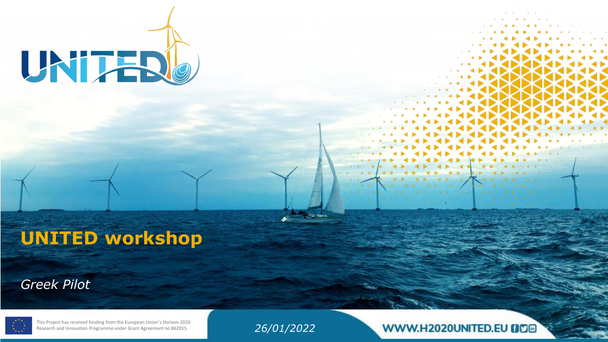

# **UNITED workshop**

#### *Greek Pilot*



This Project has received funding from the European Union's Horizon 2020 Research and Innovation Programme under Grant Agreement no 862915

*26/01/2022*

WWW.H2020UNITED.EU BDD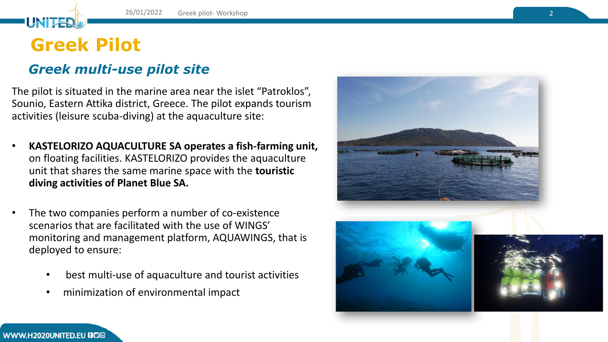## **Greek Pilot**

UNITE

#### *Greek multi-use pilot site*

The pilot is situated in the marine area near the islet "Patroklos", Sounio, Eastern Attika district, Greece. The pilot expands tourism activities (leisure scuba-diving) at the aquaculture site:

- **KASTELORIZO AQUACULTURE SA operates a fish-farming unit,**  on floating facilities. KASTELORIZO provides the aquaculture unit that shares the same marine space with the **touristic diving activities of Planet Blue SA.**
- The two companies perform a number of co-existence scenarios that are facilitated with the use of WINGS' monitoring and management platform, AQUAWINGS, that is deployed to ensure:
	- best multi-use of aquaculture and tourist activities
	- minimization of environmental impact





#### WWW.H2020UNITED.EU @D@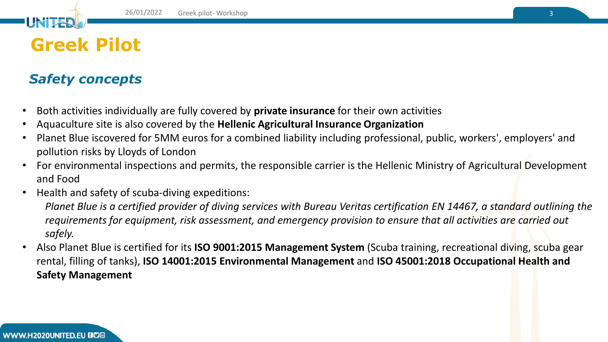# **Greek Pilot**

UNITE

### *Safety concepts*

- Both activities individually are fully covered by **private insurance** for their own activities
- Aquaculture site is also covered by the **Hellenic Agricultural Insurance Organization**
- Planet Blue iscovered for 5MM euros for a combined liability including professional, public, workers', employers' and pollution risks by Lloyds of London
- For environmental inspections and permits, the responsible carrier is the Hellenic Ministry of Agricultural Development and Food
- Health and safety of scuba-diving expeditions:

*Planet Blue is a certified provider of diving services with Bureau Veritas certification EN 14467, a standard outlining the requirements for equipment, risk assessment, and emergency provision to ensure that all activities are carried out safely.* 

• Also Planet Blue is certified for its **ISO 9001:2015 Management System** (Scuba training, recreational diving, scuba gear rental, filling of tanks), **ISO 14001:2015 Environmental Management** and **ISO 45001:2018 Occupational Health and Safety Management**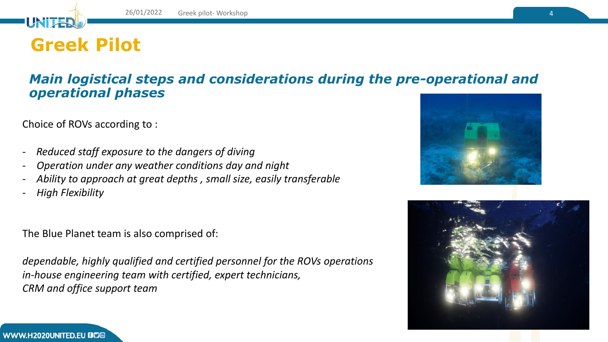## **Greek Pilot**

UNITE

#### *Main logistical steps and considerations during the pre-operational and operational phases*

Choice of ROVs according to :

- *- Reduced staff exposure to the dangers of diving*
- *Operation under any weather conditions day and night*
- *Ability to approach at great depths , small size, easily transferable*
- *High Flexibility*

The Blue Planet team is also comprised of:

*dependable, highly qualified and certified personnel for the ROVs operations in-house engineering team with certified, expert technicians, CRM and office support team*





WWW.H2020UNITED.EU BD®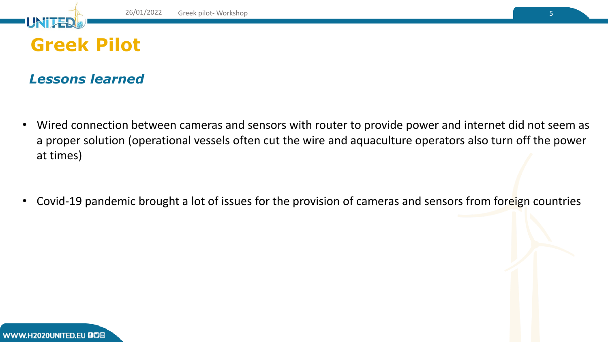

UNT

*Lessons learned*

- Wired connection between cameras and sensors with router to provide power and internet did not seem as a proper solution (operational vessels often cut the wire and aquaculture operators also turn off the power at times)
- Covid-19 pandemic brought a lot of issues for the provision of cameras and sensors from foreign countries